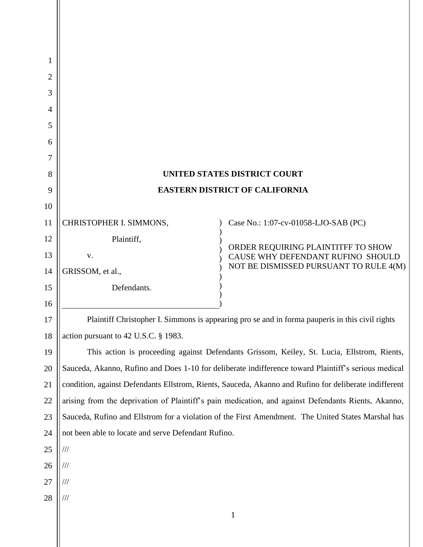| 1              |                                                                                                       |                                                                         |  |
|----------------|-------------------------------------------------------------------------------------------------------|-------------------------------------------------------------------------|--|
| $\overline{2}$ |                                                                                                       |                                                                         |  |
| 3              |                                                                                                       |                                                                         |  |
| 4              |                                                                                                       |                                                                         |  |
| 5              |                                                                                                       |                                                                         |  |
| 6              |                                                                                                       |                                                                         |  |
| 7              |                                                                                                       |                                                                         |  |
| 8              | <b>UNITED STATES DISTRICT COURT</b>                                                                   |                                                                         |  |
| 9              | <b>EASTERN DISTRICT OF CALIFORNIA</b>                                                                 |                                                                         |  |
| 10             |                                                                                                       |                                                                         |  |
| 11             | CHRISTOPHER I. SIMMONS,                                                                               | Case No.: 1:07-cv-01058-LJO-SAB (PC)                                    |  |
| 12             | Plaintiff,                                                                                            |                                                                         |  |
| 13             | V.                                                                                                    | ORDER REQUIRING PLAINTITFF TO SHOW<br>CAUSE WHY DEFENDANT RUFINO SHOULD |  |
| 14             | GRISSOM, et al.,                                                                                      | NOT BE DISMISSED PURSUANT TO RULE 4(M)                                  |  |
| 15             | Defendants.                                                                                           |                                                                         |  |
| 16             |                                                                                                       |                                                                         |  |
| 17             | Plaintiff Christopher I. Simmons is appearing pro se and in forma pauperis in this civil rights       |                                                                         |  |
| 18             | action pursuant to 42 U.S.C. § 1983.                                                                  |                                                                         |  |
| 19             | This action is proceeding against Defendants Grissom, Keiley, St. Lucia, Ellstrom, Rients,            |                                                                         |  |
| 20             | Sauceda, Akanno, Rufino and Does 1-10 for deliberate indifference toward Plaintiff's serious medical  |                                                                         |  |
| 21             | condition, against Defendants Ellstrom, Rients, Sauceda, Akanno and Rufino for deliberate indifferent |                                                                         |  |
| 22             | arising from the deprivation of Plaintiff's pain medication, and against Defendants Rients, Akanno,   |                                                                         |  |
| 23             | Sauceda, Rufino and Ellstrom for a violation of the First Amendment. The United States Marshal has    |                                                                         |  |
| 24             | not been able to locate and serve Defendant Rufino.                                                   |                                                                         |  |
| 25             | $\frac{1}{1}$                                                                                         |                                                                         |  |
| 26             | $\frac{1}{1}$                                                                                         |                                                                         |  |
| 27             | $\frac{1}{1}$                                                                                         |                                                                         |  |
| 28             | $\frac{1}{1}$                                                                                         |                                                                         |  |
|                |                                                                                                       |                                                                         |  |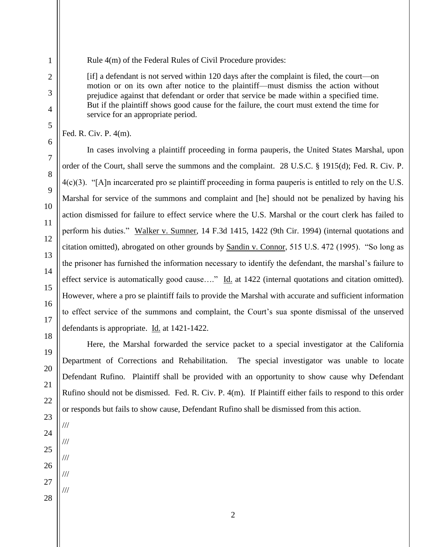Rule 4(m) of the Federal Rules of Civil Procedure provides:

[if] a defendant is not served within 120 days after the complaint is filed, the court—on motion or on its own after notice to the plaintiff—must dismiss the action without prejudice against that defendant or order that service be made within a specified time. But if the plaintiff shows good cause for the failure, the court must extend the time for service for an appropriate period.

Fed. R. Civ. P. 4(m).

In cases involving a plaintiff proceeding in forma pauperis, the United States Marshal, upon order of the Court, shall serve the summons and the complaint. 28 U.S.C. § 1915(d); Fed. R. Civ. P. 4(c)(3). "[A]n incarcerated pro se plaintiff proceeding in forma pauperis is entitled to rely on the U.S. Marshal for service of the summons and complaint and [he] should not be penalized by having his action dismissed for failure to effect service where the U.S. Marshal or the court clerk has failed to perform his duties." Walker v. Sumner, 14 F.3d 1415, 1422 (9th Cir. 1994) (internal quotations and citation omitted), abrogated on other grounds by Sandin v. Connor, 515 U.S. 472 (1995). "So long as the prisoner has furnished the information necessary to identify the defendant, the marshal's failure to effect service is automatically good cause...." Id. at 1422 (internal quotations and citation omitted). However, where a pro se plaintiff fails to provide the Marshal with accurate and sufficient information to effect service of the summons and complaint, the Court's sua sponte dismissal of the unserved defendants is appropriate. Id. at 1421-1422.

Here, the Marshal forwarded the service packet to a special investigator at the California Department of Corrections and Rehabilitation. The special investigator was unable to locate Defendant Rufino. Plaintiff shall be provided with an opportunity to show cause why Defendant Rufino should not be dismissed. Fed. R. Civ. P. 4(m). If Plaintiff either fails to respond to this order or responds but fails to show cause, Defendant Rufino shall be dismissed from this action.

///

///

///

///

///

2